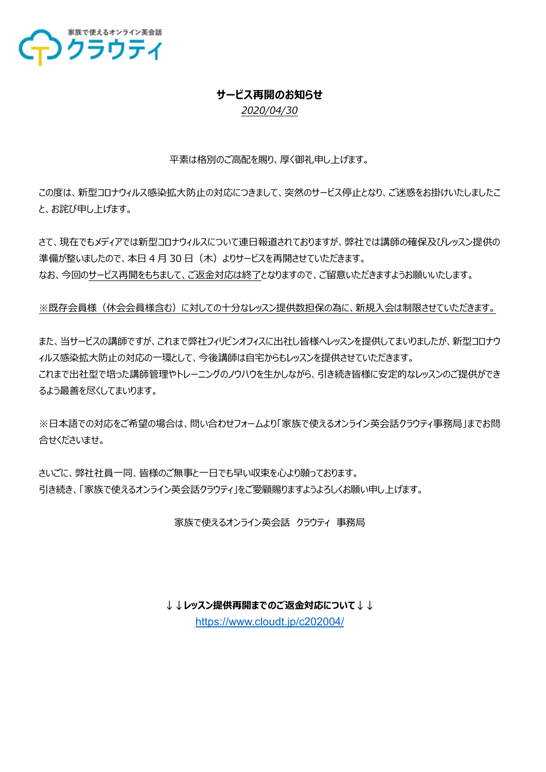

### **サービス再開のお知らせ**

*2020/04/30*

平素は格別のご高配を賜り、厚く御礼申し上げます。

この度は、新型コロナウィルス感染拡大防止の対応につきまして、突然のサービス停止となり、ご迷惑をお掛けいたしましたこ と、お詫び申し上げます。

さて、現在でもメディアでは新型コロナウィルスについて連日報道されておりますが、弊社では講師の確保及びレッスン提供の 準備が整いましたので、本日 4 月 30 日 (木) よりサービスを再開させていただきます。 なお、今回のサービス再開をもちまして、ご返⾦対応は終了となりますので、ご留意いただきますようお願いいたします。

※既存会員様(休会会員様含む)に対しての十分なレッスン提供数担保の為に、新規入会は制限させていただきます。

また、当サービスの講師ですが、これまで弊社フィリピンオフィスに出社し皆様へレッスンを提供してまいりましたが、新型コロナウ ィルス感染拡大防止の対応の一環として、今後講師は自宅からもレッスンを提供させていただきます。 これまで出社型で培った講師管理やトレーニングのノウハウを生かしながら、引き続き皆様に安定的なレッスンのご提供ができ るよう最善を尽くしてまいります。

※日本語での対応をご希望の場合は、問い合わせフォームより「家族で使えるオンライン英会話クラウティ事務局」までお問 合せくださいませ。

さいごに、弊社社員一同、皆様のご無事と一日でも早い収束を心より願っております。 引き続き、「家族で使えるオンライン英会話クラウティ」をご愛顧賜りますようよろしくお願い申し上げます。

家族で使えるオンライン英会話 クラウティ 事務局

**↓↓レッスン提供再開までのご返⾦対応について↓↓**

https://www.cloudt.jp/c202004/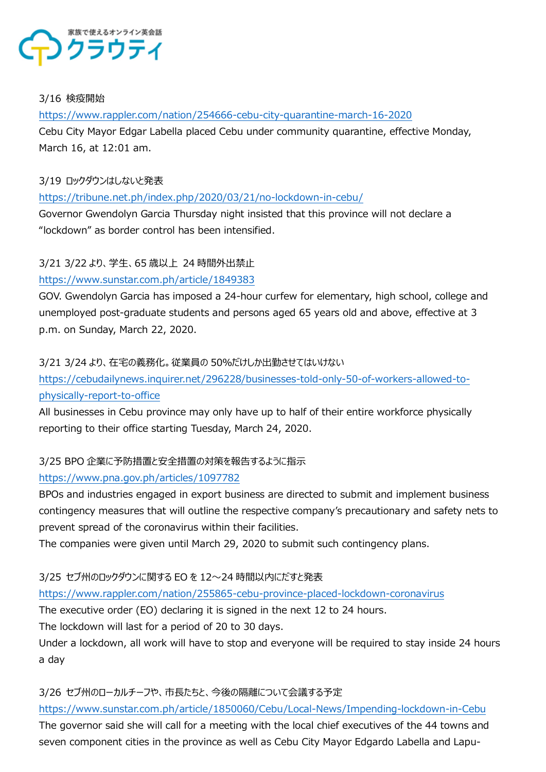

#### 3/16 検疫開始

https://www.rappler.com/nation/254666-cebu-city-quarantine-march-16-2020 Cebu City Mayor Edgar Labella placed Cebu under community quarantine, effective Monday, March 16, at 12:01 am.

#### 3/19 ロックダウンはしないと発表

https://tribune.net.ph/index.php/2020/03/21/no-lockdown-in-cebu/

Governor Gwendolyn Garcia Thursday night insisted that this province will not declare a "lockdown" as border control has been intensified.

# 3/21 3/22 より、学生、65 歳以上 24 時間外出禁止

# https://www.sunstar.com.ph/article/1849383

GOV. Gwendolyn Garcia has imposed a 24-hour curfew for elementary, high school, college and unemployed post-graduate students and persons aged 65 years old and above, effective at 3 p.m. on Sunday, March 22, 2020.

### 3/21 3/24 より、在宅の義務化。従業員の 50%だけしか出勤させてはいけない

https://cebudailynews.inquirer.net/296228/businesses-told-only-50-of-workers-allowed-tophysically-report-to-office

All businesses in Cebu province may only have up to half of their entire workforce physically reporting to their office starting Tuesday, March 24, 2020.

# 3/25 BPO 企業に予防措置と安全措置の対策を報告するように指示

### https://www.pna.gov.ph/articles/1097782

BPOs and industries engaged in export business are directed to submit and implement business contingency measures that will outline the respective company's precautionary and safety nets to prevent spread of the coronavirus within their facilities.

The companies were given until March 29, 2020 to submit such contingency plans.

3/25 セブ州のロックダウンに関する EO を 12〜24 時間以内にだすと発表

https://www.rappler.com/nation/255865-cebu-province-placed-lockdown-coronavirus

The executive order (EO) declaring it is signed in the next 12 to 24 hours.

The lockdown will last for a period of 20 to 30 days.

Under a lockdown, all work will have to stop and everyone will be required to stay inside 24 hours a day

### 3/26 セブ州のローカルチーフや、市⻑たちと、今後の隔離について会議する予定

https://www.sunstar.com.ph/article/1850060/Cebu/Local-News/Impending-lockdown-in-Cebu

The governor said she will call for a meeting with the local chief executives of the 44 towns and seven component cities in the province as well as Cebu City Mayor Edgardo Labella and Lapu-